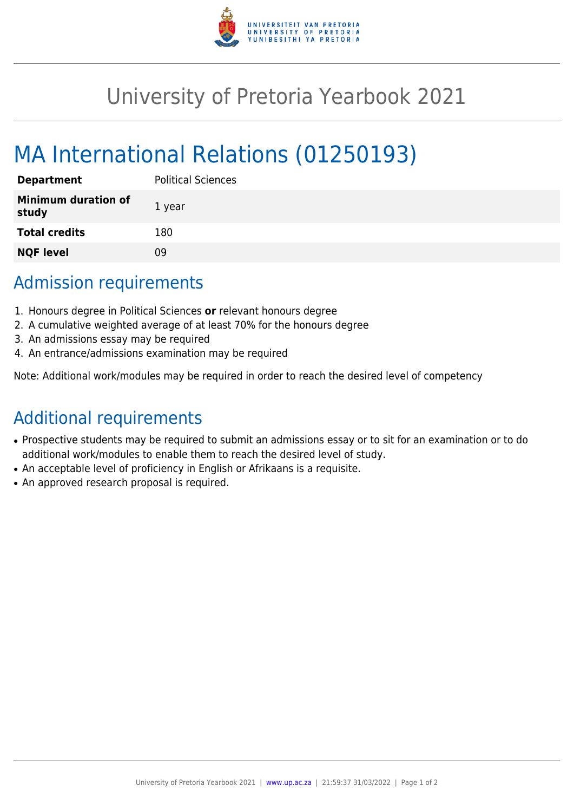

## University of Pretoria Yearbook 2021

# MA International Relations (01250193)

| <b>Department</b>                   | <b>Political Sciences</b> |
|-------------------------------------|---------------------------|
| <b>Minimum duration of</b><br>study | 1 year                    |
| <b>Total credits</b>                | 180                       |
| <b>NQF level</b>                    | ΩÓ                        |

### Admission requirements

- 1. Honours degree in Political Sciences **or** relevant honours degree
- 2. A cumulative weighted average of at least 70% for the honours degree
- 3. An admissions essay may be required
- 4. An entrance/admissions examination may be required

Note: Additional work/modules may be required in order to reach the desired level of competency

## Additional requirements

- Prospective students may be required to submit an admissions essay or to sit for an examination or to do additional work/modules to enable them to reach the desired level of study.
- An acceptable level of proficiency in English or Afrikaans is a requisite.
- An approved research proposal is required.